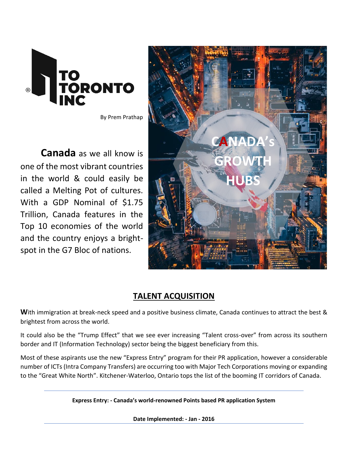

By Prem Prathap

**Canada** as we all know is one of the most vibrant countries in the world & could easily be called a Melting Pot of cultures. With a GDP Nominal of \$1.75 Trillion, Canada features in the Top 10 economies of the world and the country enjoys a brightspot in the G7 Bloc of nations.



## **TALENT ACQUISITION**

With immigration at break-neck speed and a positive business climate, Canada continues to attract the best & brightest from across the world.

It could also be the "Trump Effect" that we see ever increasing "Talent cross-over" from across its southern border and IT (Information Technology) sector being the biggest beneficiary from this.

Most of these aspirants use the new "Express Entry" program for their PR application, however a considerable number of ICTs (Intra Company Transfers) are occurring too with Major Tech Corporations moving or expanding to the "Great White North". Kitchener-Waterloo, Ontario tops the list of the booming IT corridors of Canada.

**Express Entry: - Canada's world-renowned Points based PR application System** 

**Date Implemented: - Jan - 2016**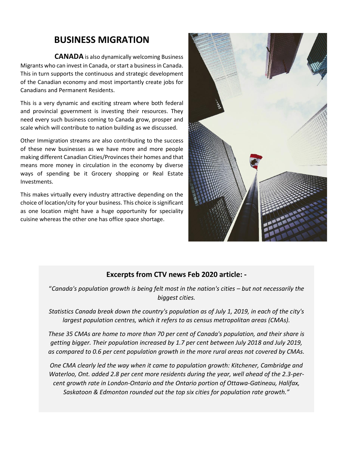# **BUSINESS MIGRATION**

 **CANADA** is also dynamically welcoming Business Migrants who can invest in Canada, or start a business in Canada. This in turn supports the continuous and strategic development of the Canadian economy and most importantly create jobs for Canadians and Permanent Residents.

This is a very dynamic and exciting stream where both federal and provincial government is investing their resources. They need every such business coming to Canada grow, prosper and scale which will contribute to nation building as we discussed.

Other Immigration streams are also contributing to the success of these new businesses as we have more and more people making different Canadian Cities/Provinces their homes and that means more money in circulation in the economy by diverse ways of spending be it Grocery shopping or Real Estate Investments.

This makes virtually every industry attractive depending on the choice of location/city for your business. This choice is significant as one location might have a huge opportunity for speciality cuisine whereas the other one has office space shortage.



## **Excerpts from CTV news Feb 2020 article: -**

"Canada's population growth is being felt most in the nation's cities – but not necessarily the *biggest cities.*

*Statistics Canada break down the country's population as of July 1, 2019, in each of the city's largest population centres, which it refers to as census metropolitan areas (CMAs).*

*These 35 CMAs are home to more than 70 per cent of Canada's population, and their share is getting bigger. Their population increased by 1.7 per cent between July 2018 and July 2019, as compared to 0.6 per cent population growth in the more rural areas not covered by CMAs.*

*One CMA clearly led the way when it came to population growth: Kitchener, Cambridge and Waterloo, Ont. added 2.8 per cent more residents during the year, well ahead of the 2.3-percent growth rate in London-Ontario and the Ontario portion of Ottawa-Gatineau, Halifax, Saskatoon & Edmonton rounded out the top six cities for population rate growth."*